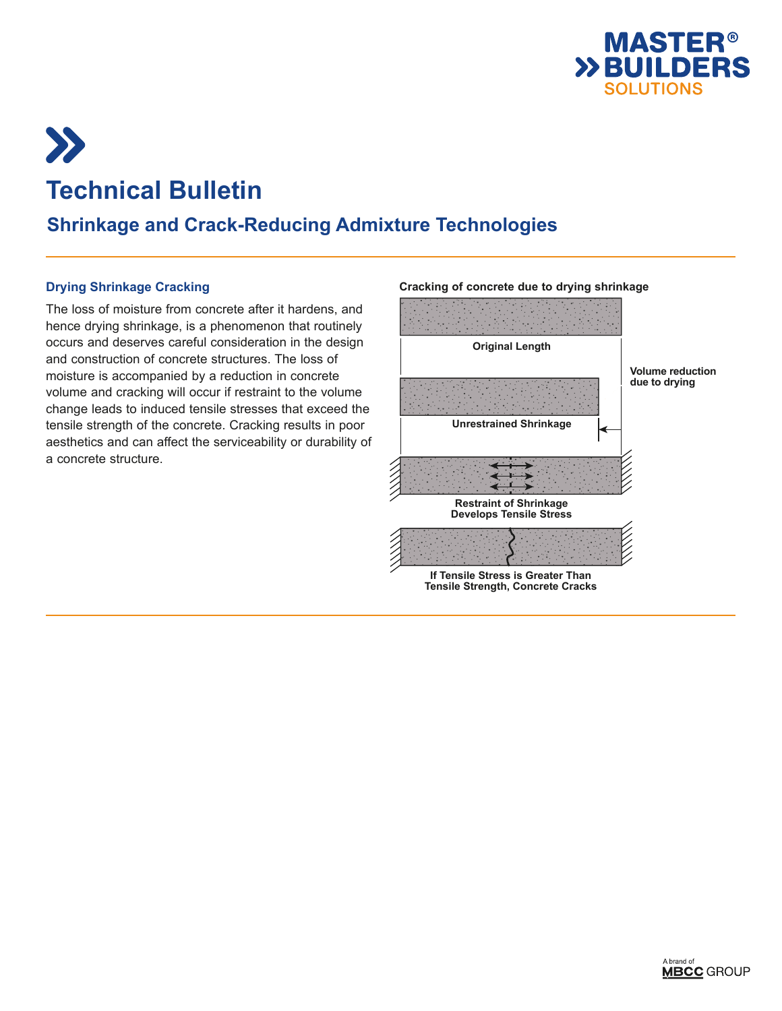



# **Technical Bulletin**

## **Shrinkage and Crack-Reducing Admixture Technologies**

### **Drying Shrinkage Cracking**

The loss of moisture from concrete after it hardens, and hence drying shrinkage, is a phenomenon that routinely occurs and deserves careful consideration in the design and construction of concrete structures. The loss of moisture is accompanied by a reduction in concrete volume and cracking will occur if restraint to the volume change leads to induced tensile stresses that exceed the tensile strength of the concrete. Cracking results in poor aesthetics and can affect the serviceability or durability of a concrete structure.